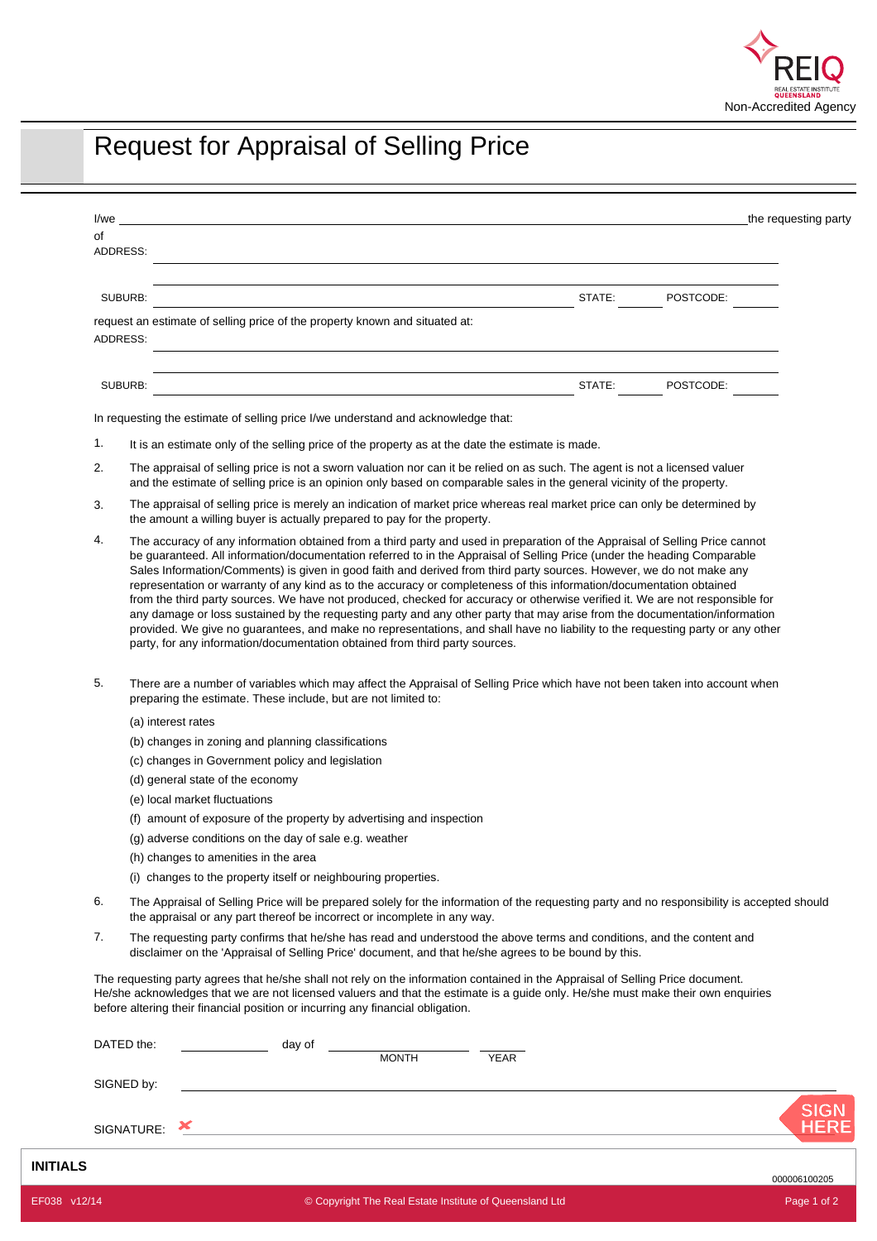

## Request for Appraisal of Selling Price

| the requesting party<br>l/weid="background" and "background" and "background" and "background" and "background" and "background" and "                                                                                                                                                                                                                                                                                                                                                                                                                                                               |  |
|------------------------------------------------------------------------------------------------------------------------------------------------------------------------------------------------------------------------------------------------------------------------------------------------------------------------------------------------------------------------------------------------------------------------------------------------------------------------------------------------------------------------------------------------------------------------------------------------------|--|
| ADDRESS:<br><u>a sa barang ang pagbabang ng mga barang ng mga barang ng mga barang ng mga barang ng mga barang ng mga barang n</u>                                                                                                                                                                                                                                                                                                                                                                                                                                                                   |  |
|                                                                                                                                                                                                                                                                                                                                                                                                                                                                                                                                                                                                      |  |
| SUBURB:                                                                                                                                                                                                                                                                                                                                                                                                                                                                                                                                                                                              |  |
| request an estimate of selling price of the property known and situated at:                                                                                                                                                                                                                                                                                                                                                                                                                                                                                                                          |  |
| ADDRESS:                                                                                                                                                                                                                                                                                                                                                                                                                                                                                                                                                                                             |  |
|                                                                                                                                                                                                                                                                                                                                                                                                                                                                                                                                                                                                      |  |
| <u> 1980 - Johann Stoff, deutscher Stoffen und der Stoffen und der Stoffen und der Stoffen und der Stoffen und der</u>                                                                                                                                                                                                                                                                                                                                                                                                                                                                               |  |
| <b>Example 2018</b> STATE: POSTCODE:<br>SUBURB:                                                                                                                                                                                                                                                                                                                                                                                                                                                                                                                                                      |  |
| In requesting the estimate of selling price I/we understand and acknowledge that:                                                                                                                                                                                                                                                                                                                                                                                                                                                                                                                    |  |
| It is an estimate only of the selling price of the property as at the date the estimate is made.                                                                                                                                                                                                                                                                                                                                                                                                                                                                                                     |  |
| The appraisal of selling price is not a sworn valuation nor can it be relied on as such. The agent is not a licensed valuer<br>and the estimate of selling price is an opinion only based on comparable sales in the general vicinity of the property.                                                                                                                                                                                                                                                                                                                                               |  |
| The appraisal of selling price is merely an indication of market price whereas real market price can only be determined by<br>the amount a willing buyer is actually prepared to pay for the property.                                                                                                                                                                                                                                                                                                                                                                                               |  |
| The accuracy of any information obtained from a third party and used in preparation of the Appraisal of Selling Price cannot<br>be guaranteed. All information/documentation referred to in the Appraisal of Selling Price (under the heading Comparable<br>Sales Information/Comments) is given in good faith and derived from third party sources. However, we do not make any                                                                                                                                                                                                                     |  |
| representation or warranty of any kind as to the accuracy or completeness of this information/documentation obtained<br>from the third party sources. We have not produced, checked for accuracy or otherwise verified it. We are not responsible for<br>any damage or loss sustained by the requesting party and any other party that may arise from the documentation/information<br>provided. We give no guarantees, and make no representations, and shall have no liability to the requesting party or any other<br>party, for any information/documentation obtained from third party sources. |  |
| There are a number of variables which may affect the Appraisal of Selling Price which have not been taken into account when<br>preparing the estimate. These include, but are not limited to:                                                                                                                                                                                                                                                                                                                                                                                                        |  |
| (a) interest rates                                                                                                                                                                                                                                                                                                                                                                                                                                                                                                                                                                                   |  |
| (b) changes in zoning and planning classifications                                                                                                                                                                                                                                                                                                                                                                                                                                                                                                                                                   |  |
| (c) changes in Government policy and legislation                                                                                                                                                                                                                                                                                                                                                                                                                                                                                                                                                     |  |
| (d) general state of the economy                                                                                                                                                                                                                                                                                                                                                                                                                                                                                                                                                                     |  |
| (e) local market fluctuations                                                                                                                                                                                                                                                                                                                                                                                                                                                                                                                                                                        |  |
| (f) amount of exposure of the property by advertising and inspection                                                                                                                                                                                                                                                                                                                                                                                                                                                                                                                                 |  |
| (g) adverse conditions on the day of sale e.g. weather                                                                                                                                                                                                                                                                                                                                                                                                                                                                                                                                               |  |
| (h) changes to amenities in the area                                                                                                                                                                                                                                                                                                                                                                                                                                                                                                                                                                 |  |
| (i) changes to the property itself or neighbouring properties.                                                                                                                                                                                                                                                                                                                                                                                                                                                                                                                                       |  |
| The Appraisal of Selling Price will be prepared solely for the information of the requesting party and no responsibility is accepted should<br>the appraisal or any part thereof be incorrect or incomplete in any way.                                                                                                                                                                                                                                                                                                                                                                              |  |
| The requesting party confirms that he/she has read and understood the above terms and conditions, and the content and<br>disclaimer on the 'Appraisal of Selling Price' document, and that he/she agrees to be bound by this.                                                                                                                                                                                                                                                                                                                                                                        |  |
| The requesting party agrees that he/she shall not rely on the information contained in the Appraisal of Selling Price document.<br>He/she acknowledges that we are not licensed valuers and that the estimate is a guide only. He/she must make their own enquiries<br>before altering their financial position or incurring any financial obligation.                                                                                                                                                                                                                                               |  |
| DATED the:<br>day of<br><b>MONTH</b><br><b>YEAR</b>                                                                                                                                                                                                                                                                                                                                                                                                                                                                                                                                                  |  |

**INITIALS**

**HERE**